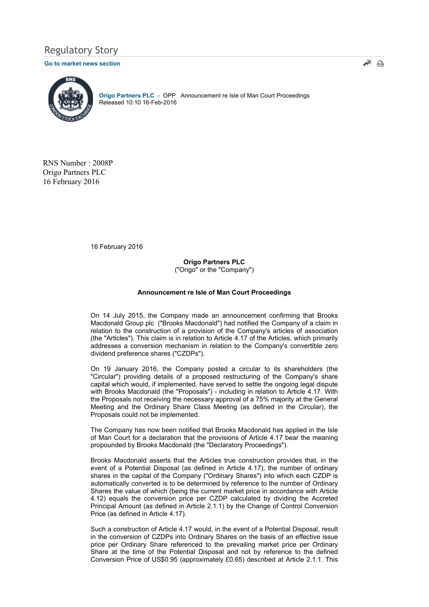# Regulatory Story

## Go to market news section



Origo Partners PLC - OPP Announcement re Isle of Man Court Proceedings Released 10:10 16-Feb-2016

RNS Number : 2008P Origo Partners PLC 16 February 2016

16 February 2016

## Origo Partners PLC ("Origo" or the "Company")

#### Announcement re Isle of Man Court Proceedings

On 14 July 2015, the Company made an announcement confirming that Brooks Macdonald Group plc ("Brooks Macdonald") had notified the Company of a claim in relation to the construction of a provision of the Company's articles of association (the "Articles"). This claim is in relation to Article 4.17 of the Articles, which primarily addresses a conversion mechanism in relation to the Company's convertible zero dividend preference shares ("CZDPs").

On 19 January 2016, the Company posted a circular to its shareholders (the "Circular") providing details of a proposed restructuring of the Company's share capital which would, if implemented, have served to settle the ongoing legal dispute with Brooks Macdonald (the "Proposals") - including in relation to Article 4.17. With the Proposals not receiving the necessary approval of a 75% majority at the General Meeting and the Ordinary Share Class Meeting (as defined in the Circular), the Proposals could not be implemented.

The Company has now been notified that Brooks Macdonald has applied in the Isle of Man Court for a declaration that the provisions of Article 4.17 bear the meaning propounded by Brooks Macdonald (the "Declaratory Proceedings").

Brooks Macdonald asserts that the Articles true construction provides that, in the event of a Potential Disposal (as defined in Article 4.17), the number of ordinary shares in the capital of the Company ("Ordinary Shares") into which each CZDP is automatically converted is to be determined by reference to the number of Ordinary Shares the value of which (being the current market price in accordance with Article 4.12) equals the conversion price per CZDP calculated by dividing the Accreted Principal Amount (as defined in Article 2.1.1) by the Change of Control Conversion Price (as defined in Article 4.17).

Such a construction of Article 4.17 would, in the event of a Potential Disposal, result in the conversion of CZDPs into Ordinary Shares on the basis of an effective issue price per Ordinary Share referenced to the prevailing market price per Ordinary Share at the time of the Potential Disposal and not by reference to the defined Conversion Price of US\$0.95 (approximately £0.65) described at Article 2.1.1. This